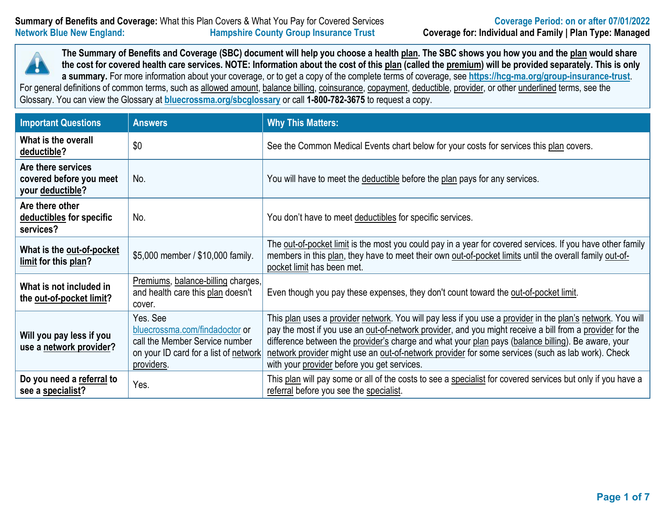

For general definitions of common terms, such as allowed amount, balance billing, coinsurance, copayment, deductible, provider, or other underlined terms, see the Glossary. You can view the Glossary at **[bluecrossma.org/sbcglossary](https://home.bluecrossma.com/collateral/sites/g/files/csphws1571/files/acquiadam-assets/55-0382_SBC_Glossary_Medical_Terms.pdf)** or call **1-800-782-3675** to request a copy.

| <b>Important Questions</b>                                        | <b>Answers</b>                                                                                                                      | <b>Why This Matters:</b>                                                                                                                                                                                                                                                                                                                                                                                                                                                         |  |  |  |
|-------------------------------------------------------------------|-------------------------------------------------------------------------------------------------------------------------------------|----------------------------------------------------------------------------------------------------------------------------------------------------------------------------------------------------------------------------------------------------------------------------------------------------------------------------------------------------------------------------------------------------------------------------------------------------------------------------------|--|--|--|
| What is the overall<br>deductible?                                | \$0                                                                                                                                 | See the Common Medical Events chart below for your costs for services this plan covers.                                                                                                                                                                                                                                                                                                                                                                                          |  |  |  |
| Are there services<br>covered before you meet<br>your deductible? | No.                                                                                                                                 | You will have to meet the deductible before the plan pays for any services.                                                                                                                                                                                                                                                                                                                                                                                                      |  |  |  |
| Are there other<br>deductibles for specific<br>services?          | No.                                                                                                                                 | You don't have to meet deductibles for specific services.                                                                                                                                                                                                                                                                                                                                                                                                                        |  |  |  |
| What is the out-of-pocket<br>limit for this plan?                 | \$5,000 member / \$10,000 family.                                                                                                   | The out-of-pocket limit is the most you could pay in a year for covered services. If you have other family<br>members in this plan, they have to meet their own out-of-pocket limits until the overall family out-of-<br>pocket limit has been met.                                                                                                                                                                                                                              |  |  |  |
| What is not included in<br>the out-of-pocket limit?               | Premiums, balance-billing charges,<br>and health care this plan doesn't<br>cover.                                                   | Even though you pay these expenses, they don't count toward the out-of-pocket limit.                                                                                                                                                                                                                                                                                                                                                                                             |  |  |  |
| Will you pay less if you<br>use a network provider?               | Yes. See<br>bluecrossma.com/findadoctor or<br>call the Member Service number<br>on your ID card for a list of network<br>providers. | This plan uses a provider network. You will pay less if you use a provider in the plan's network. You will<br>pay the most if you use an out-of-network provider, and you might receive a bill from a provider for the<br>difference between the provider's charge and what your plan pays (balance billing). Be aware, your<br>network provider might use an out-of-network provider for some services (such as lab work). Check<br>with your provider before you get services. |  |  |  |
| Do you need a referral to<br>see a specialist?                    | Yes.                                                                                                                                | This plan will pay some or all of the costs to see a specialist for covered services but only if you have a<br>referral before you see the specialist.                                                                                                                                                                                                                                                                                                                           |  |  |  |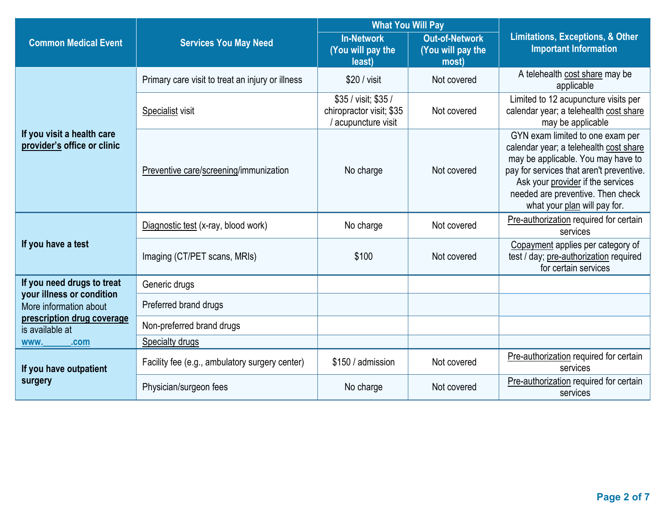|                                                           |                                                  | <b>What You Will Pay</b>                                                |                                                     | <b>Limitations, Exceptions, &amp; Other</b><br><b>Important Information</b>                                                                                                                                                                                            |  |
|-----------------------------------------------------------|--------------------------------------------------|-------------------------------------------------------------------------|-----------------------------------------------------|------------------------------------------------------------------------------------------------------------------------------------------------------------------------------------------------------------------------------------------------------------------------|--|
| <b>Common Medical Event</b>                               | <b>Services You May Need</b>                     | <b>In-Network</b><br>(You will pay the<br>least)                        | <b>Out-of-Network</b><br>(You will pay the<br>most) |                                                                                                                                                                                                                                                                        |  |
|                                                           | Primary care visit to treat an injury or illness | \$20 / visit                                                            | Not covered                                         | A telehealth cost share may be<br>applicable                                                                                                                                                                                                                           |  |
|                                                           | Specialist visit                                 | \$35 / visit; \$35 /<br>chiropractor visit; \$35<br>/ acupuncture visit | Not covered                                         | Limited to 12 acupuncture visits per<br>calendar year; a telehealth cost share<br>may be applicable                                                                                                                                                                    |  |
| If you visit a health care<br>provider's office or clinic | Preventive care/screening/immunization           | No charge                                                               | Not covered                                         | GYN exam limited to one exam per<br>calendar year; a telehealth cost share<br>may be applicable. You may have to<br>pay for services that aren't preventive.<br>Ask your provider if the services<br>needed are preventive. Then check<br>what your plan will pay for. |  |
|                                                           | Diagnostic test (x-ray, blood work)              | No charge                                                               | Not covered                                         | Pre-authorization required for certain<br>services                                                                                                                                                                                                                     |  |
| If you have a test                                        | Imaging (CT/PET scans, MRIs)                     | \$100                                                                   | Not covered                                         | Copayment applies per category of<br>test / day; pre-authorization required<br>for certain services                                                                                                                                                                    |  |
| If you need drugs to treat                                | Generic drugs                                    |                                                                         |                                                     |                                                                                                                                                                                                                                                                        |  |
| your illness or condition<br>More information about       | Preferred brand drugs                            |                                                                         |                                                     |                                                                                                                                                                                                                                                                        |  |
| prescription drug coverage<br>is available at             | Non-preferred brand drugs                        |                                                                         |                                                     |                                                                                                                                                                                                                                                                        |  |
| <b>WWW.</b><br>.com                                       | <b>Specialty drugs</b>                           |                                                                         |                                                     |                                                                                                                                                                                                                                                                        |  |
| If you have outpatient                                    | Facility fee (e.g., ambulatory surgery center)   | \$150 / admission                                                       | Not covered                                         | Pre-authorization required for certain<br>services                                                                                                                                                                                                                     |  |
| surgery                                                   | Physician/surgeon fees                           | No charge                                                               | Not covered                                         | Pre-authorization required for certain<br>services                                                                                                                                                                                                                     |  |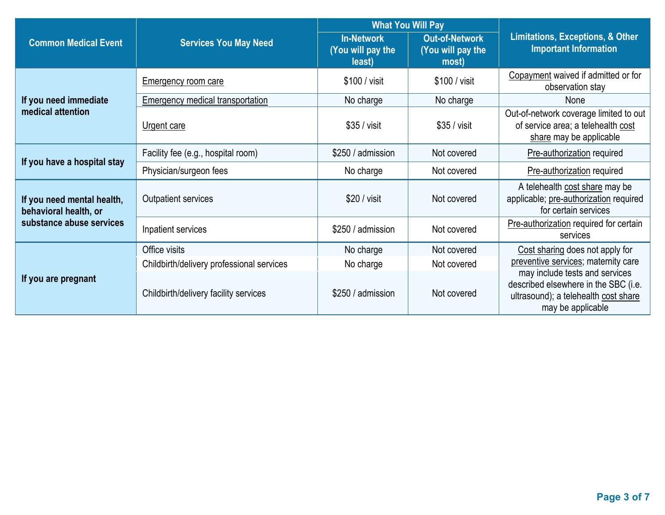|                                                     |                                           | <b>What You Will Pay</b>                         |                                                     | <b>Limitations, Exceptions, &amp; Other</b><br><b>Important Information</b>                                                         |  |
|-----------------------------------------------------|-------------------------------------------|--------------------------------------------------|-----------------------------------------------------|-------------------------------------------------------------------------------------------------------------------------------------|--|
| <b>Common Medical Event</b>                         | <b>Services You May Need</b>              | <b>In-Network</b><br>(You will pay the<br>least) | <b>Out-of-Network</b><br>(You will pay the<br>most) |                                                                                                                                     |  |
|                                                     | <b>Emergency room care</b>                | \$100 / visit<br>\$100 / visit                   |                                                     | Copayment waived if admitted or for<br>observation stay                                                                             |  |
| If you need immediate                               | Emergency medical transportation          | No charge                                        | No charge                                           | None                                                                                                                                |  |
| medical attention                                   | Urgent care                               | $$35 / v$ isit                                   | $$35 / v$ isit                                      | Out-of-network coverage limited to out<br>of service area; a telehealth cost<br>share may be applicable                             |  |
|                                                     | Facility fee (e.g., hospital room)        | \$250 / admission                                | Not covered                                         | Pre-authorization required                                                                                                          |  |
| If you have a hospital stay                         | Physician/surgeon fees                    | No charge                                        | Not covered                                         | Pre-authorization required                                                                                                          |  |
| If you need mental health,<br>behavioral health, or | <b>Outpatient services</b>                | \$20 / visit                                     | Not covered                                         | A telehealth cost share may be<br>applicable; pre-authorization required<br>for certain services                                    |  |
| substance abuse services                            | Inpatient services                        | \$250 / admission                                | Not covered                                         | Pre-authorization required for certain<br>services                                                                                  |  |
|                                                     | Office visits                             | No charge                                        | Not covered                                         | Cost sharing does not apply for<br>preventive services; maternity care                                                              |  |
|                                                     | Childbirth/delivery professional services | No charge                                        | Not covered                                         |                                                                                                                                     |  |
| If you are pregnant                                 | Childbirth/delivery facility services     | \$250 / admission                                | Not covered                                         | may include tests and services<br>described elsewhere in the SBC (i.e.<br>ultrasound); a telehealth cost share<br>may be applicable |  |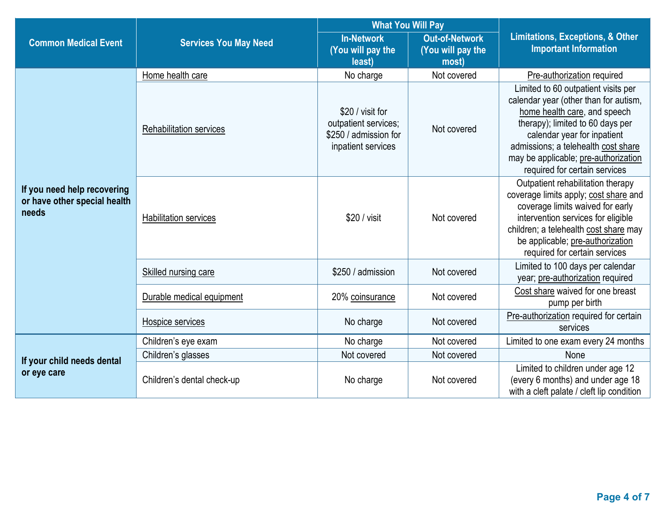|                                                                      |                                | <b>What You Will Pay</b>                                                                |                                                     |                                                                                                                                                                                                                                                                                                 |  |
|----------------------------------------------------------------------|--------------------------------|-----------------------------------------------------------------------------------------|-----------------------------------------------------|-------------------------------------------------------------------------------------------------------------------------------------------------------------------------------------------------------------------------------------------------------------------------------------------------|--|
| <b>Common Medical Event</b>                                          | <b>Services You May Need</b>   | <b>In-Network</b><br>(You will pay the<br>least)                                        | <b>Out-of-Network</b><br>(You will pay the<br>most) | <b>Limitations, Exceptions, &amp; Other</b><br><b>Important Information</b>                                                                                                                                                                                                                     |  |
|                                                                      | Home health care               | No charge                                                                               | Not covered                                         | Pre-authorization required                                                                                                                                                                                                                                                                      |  |
| If you need help recovering<br>or have other special health<br>needs | <b>Rehabilitation services</b> | \$20 / visit for<br>outpatient services;<br>\$250 / admission for<br>inpatient services | Not covered                                         | Limited to 60 outpatient visits per<br>calendar year (other than for autism,<br>home health care, and speech<br>therapy); limited to 60 days per<br>calendar year for inpatient<br>admissions; a telehealth cost share<br>may be applicable; pre-authorization<br>required for certain services |  |
|                                                                      | <b>Habilitation services</b>   | \$20 / visit                                                                            | Not covered                                         | Outpatient rehabilitation therapy<br>coverage limits apply; cost share and<br>coverage limits waived for early<br>intervention services for eligible<br>children; a telehealth cost share may<br>be applicable; pre-authorization<br>required for certain services                              |  |
|                                                                      | Skilled nursing care           | \$250 / admission                                                                       | Not covered                                         | Limited to 100 days per calendar<br>year; pre-authorization required                                                                                                                                                                                                                            |  |
|                                                                      | Durable medical equipment      | 20% coinsurance                                                                         | Not covered                                         | Cost share waived for one breast<br>pump per birth                                                                                                                                                                                                                                              |  |
|                                                                      | Hospice services               | No charge                                                                               | Not covered                                         | Pre-authorization required for certain<br>services                                                                                                                                                                                                                                              |  |
|                                                                      | Children's eye exam            | No charge                                                                               | Not covered                                         | Limited to one exam every 24 months                                                                                                                                                                                                                                                             |  |
| If your child needs dental                                           | Children's glasses             | Not covered                                                                             | Not covered                                         | None                                                                                                                                                                                                                                                                                            |  |
| or eye care                                                          | Children's dental check-up     | No charge                                                                               | Not covered                                         | Limited to children under age 12<br>(every 6 months) and under age 18<br>with a cleft palate / cleft lip condition                                                                                                                                                                              |  |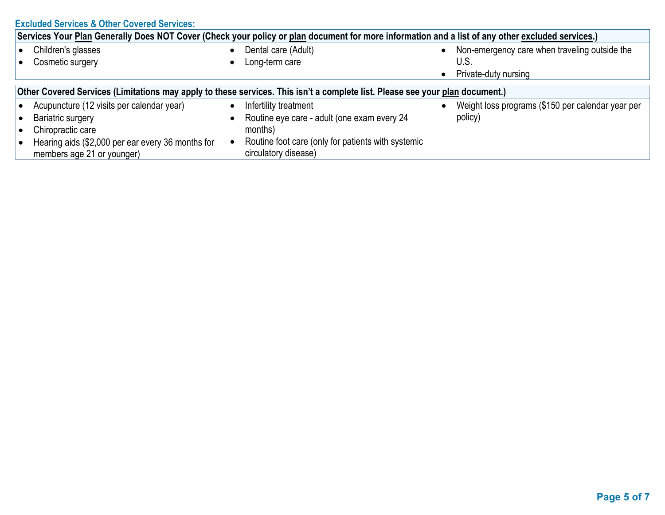|                                                                                                                                                  | <b>Excluded Services &amp; Other Covered Services:</b>                          |           |                                                                            |           |                                                   |  |  |
|--------------------------------------------------------------------------------------------------------------------------------------------------|---------------------------------------------------------------------------------|-----------|----------------------------------------------------------------------------|-----------|---------------------------------------------------|--|--|
| Services Your Plan Generally Does NOT Cover (Check your policy or plan document for more information and a list of any other excluded services.) |                                                                                 |           |                                                                            |           |                                                   |  |  |
|                                                                                                                                                  | Children's glasses                                                              | $\bullet$ | Dental care (Adult)                                                        |           | Non-emergency care when traveling outside the     |  |  |
|                                                                                                                                                  | Cosmetic surgery                                                                |           | Long-term care                                                             |           | U.S.                                              |  |  |
|                                                                                                                                                  |                                                                                 |           |                                                                            | $\bullet$ | Private-duty nursing                              |  |  |
| Other Covered Services (Limitations may apply to these services. This isn't a complete list. Please see your plan document.)                     |                                                                                 |           |                                                                            |           |                                                   |  |  |
|                                                                                                                                                  | Acupuncture (12 visits per calendar year)                                       | $\bullet$ | Infertility treatment                                                      |           | Weight loss programs (\$150 per calendar year per |  |  |
|                                                                                                                                                  | <b>Bariatric surgery</b>                                                        | $\bullet$ | Routine eye care - adult (one exam every 24                                |           | policy)                                           |  |  |
|                                                                                                                                                  | Chiropractic care                                                               |           | months)                                                                    |           |                                                   |  |  |
|                                                                                                                                                  | Hearing aids (\$2,000 per ear every 36 months for<br>members age 21 or younger) | $\bullet$ | Routine foot care (only for patients with systemic<br>circulatory disease) |           |                                                   |  |  |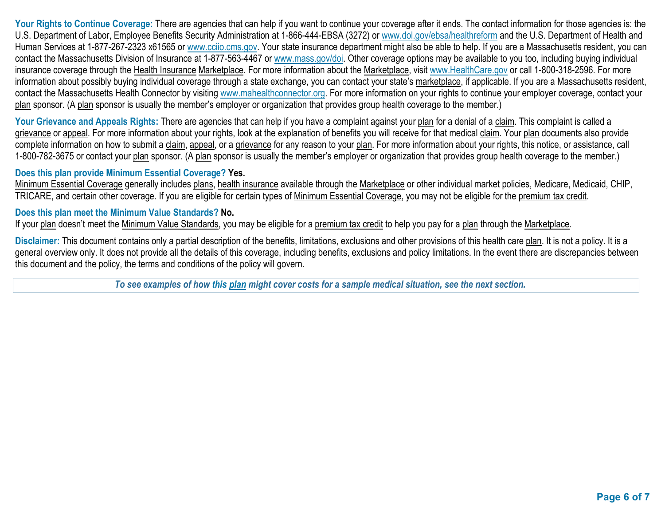Your Rights to Continue Coverage: There are agencies that can help if you want to continue your coverage after it ends. The contact information for those agencies is: the U.S. Department of Labor, Employee Benefits Security Administration at 1-866-444-EBSA (3272) or [www.dol.gov/ebsa/healthreform](http://www.dol.gov/ebsa/healthreform) and the U.S. Department of Health and Human Services at 1-877-267-2323 x61565 or [www.cciio.cms.gov.](http://www.cciio.cms.gov/) Your state insurance department might also be able to help. If you are a Massachusetts resident, you can contact the Massachusetts Division of Insurance at 1-877-563-4467 or [www.mass.gov/doi.](http://www.mass.gov/doi) Other coverage options may be available to you too, including buying individual insurance coverage through the Health Insurance Marketplace. For more information about the Marketplace, visit [www.HealthCare.gov](http://www.healthcare.gov/) or call 1-800-318-2596. For more information about possibly buying individual coverage through a state exchange, you can contact your state's marketplace, if applicable. If you are a Massachusetts resident, contact the Massachusetts Health Connector by visiting [www.mahealthconnector.org.](http://www.mahealthconnector.org/) For more information on your rights to continue your employer coverage, contact your plan sponsor. (A plan sponsor is usually the member's employer or organization that provides group health coverage to the member.)

Your Grievance and Appeals Rights: There are agencies that can help if you have a complaint against your plan for a denial of a claim. This complaint is called a grievance or appeal. For more information about your rights, look at the explanation of benefits you will receive for that medical claim. Your plan documents also provide complete information on how to submit a claim, appeal, or a grievance for any reason to your plan. For more information about your rights, this notice, or assistance, call 1-800-782-3675 or contact your plan sponsor. (A plan sponsor is usually the member's employer or organization that provides group health coverage to the member.)

## **Does this plan provide Minimum Essential Coverage? Yes.**

Minimum Essential Coverage generally includes plans, health insurance available through the Marketplace or other individual market policies, Medicare, Medicaid, CHIP, TRICARE, and certain other coverage. If you are eligible for certain types of Minimum Essential Coverage, you may not be eligible for the premium tax credit.

## **Does this plan meet the Minimum Value Standards? No.**

If your plan doesn't meet the Minimum Value Standards, you may be eligible for a premium tax credit to help you pay for a plan through the Marketplace.

**Disclaimer:** This document contains only a partial description of the benefits, limitations, exclusions and other provisions of this health care plan. It is not a policy. It is a general overview only. It does not provide all the details of this coverage, including benefits, exclusions and policy limitations. In the event there are discrepancies between this document and the policy, the terms and conditions of the policy will govern.

*To see examples of how this plan might cover costs for a sample medical situation, see the next section.*